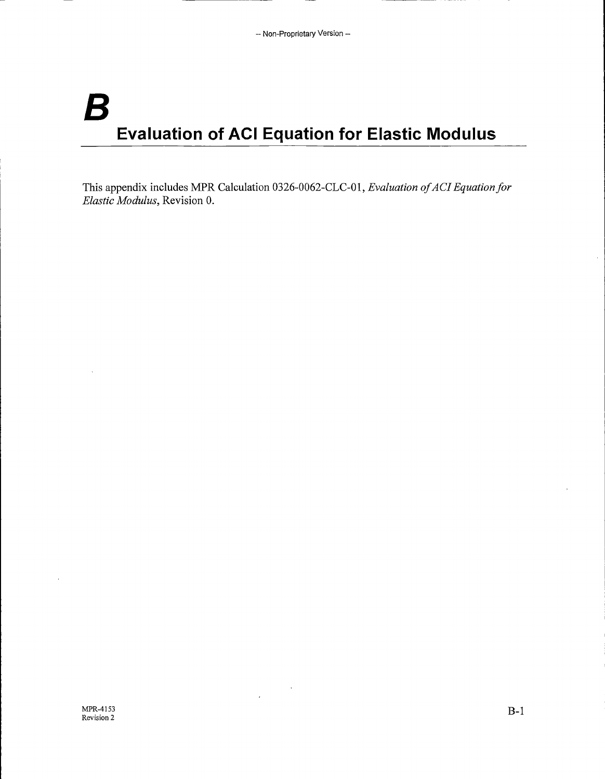# *B*  **Evaluation of ACI Equation for Elastic Modulus**

This appendix includes MPR Calculation 0326-0062-CLC-Ol, *Evaluation of AC! Equation for Elastic Modulus,* Revision 0.

 $\ddot{\phantom{a}}$ 

 $\ddot{\phantom{0}}$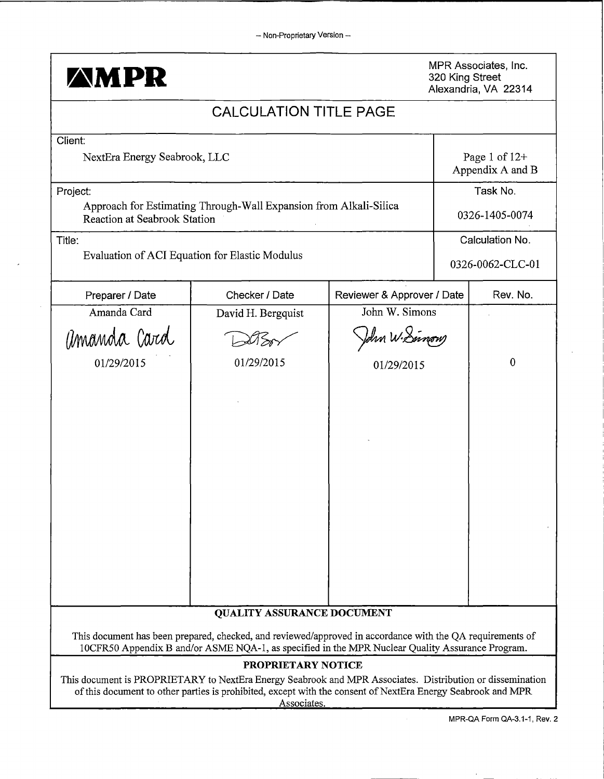

MPR Associates, Inc. 320 King Street Alexandria, VA 22314

## CALCULATION TITLE PAGE Client: NextEra Energy Seabrook, LLC Project: Title: Approach for Estimating Through-Wall Expansion from Alkali-Silica Reaction at Seabrook Station Evaluation of ACI Equation for Elastic Modulus Page 1 of  $12+$ Appendix A and B Task No. 0326-1405-0074 Calculation No. 0326-0062-CLC-01 Preparer / Date Rev. No. Checker / Date Reviewer & Approver / Date Rev. No. Amanda Card David H. Bergquist John W. Simons Preparer / Date Checker / Date Reviewer & Approver / Date Rev.<br>
Amanda Card David H. Bergquist John W. Simons<br>
(MMAMAA (Arta David Date) Date John W. Simons<br>
01/29/2015 01/29/2015 01/29/2015 0 QUALITY ASSURANCE DOCUMENT This document has been prepared, checked, and reviewed/approved in accordance with the QA requirements of 10CFR50 Appendix Band/or ASME NQA-1, as specified in the MPR Nuclear Quality Assurance Program. PROPRIETARY NOTICE This document is PROPRIETARY to NextEra Energy Seabrook and MPR Associates. Distribution or dissemination of this document to other parties is prohibited, except with the consent of NextEra Energy Seabrook and MPR Associates.

MPR-QA Form QA-3.1-1, Rev. 2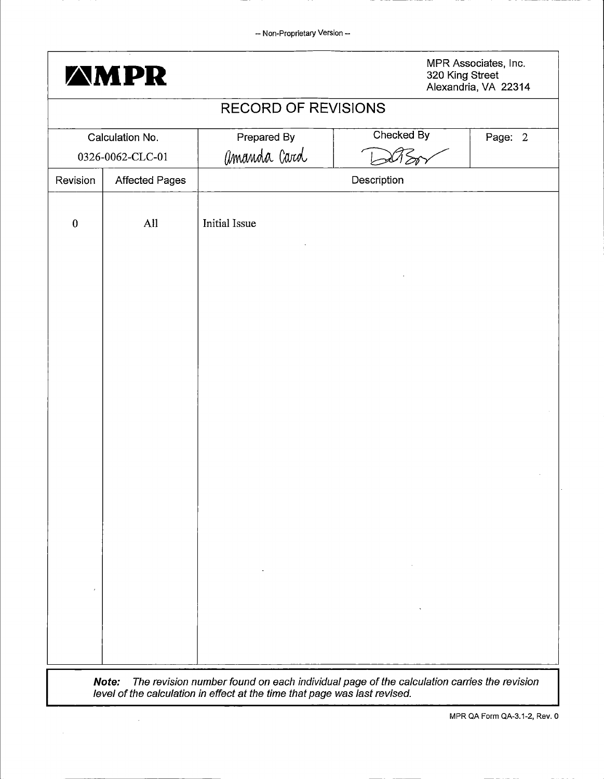|                            | <b>AMPR</b>           |                      |             | MPR Associates, Inc.<br>320 King Street<br>Alexandria, VA 22314 |  |  |
|----------------------------|-----------------------|----------------------|-------------|-----------------------------------------------------------------|--|--|
| <b>RECORD OF REVISIONS</b> |                       |                      |             |                                                                 |  |  |
|                            | Calculation No.       | Prepared By          | Checked By  | Page: 2                                                         |  |  |
|                            | 0326-0062-CLC-01      | amanda Card          |             |                                                                 |  |  |
| Revision                   | <b>Affected Pages</b> |                      | Description |                                                                 |  |  |
| $\boldsymbol{0}$           | All                   | <b>Initial Issue</b> |             |                                                                 |  |  |
|                            |                       |                      |             |                                                                 |  |  |
|                            |                       |                      |             |                                                                 |  |  |
|                            |                       |                      |             |                                                                 |  |  |
|                            |                       |                      |             |                                                                 |  |  |
|                            |                       |                      |             |                                                                 |  |  |
|                            |                       |                      |             |                                                                 |  |  |
|                            |                       |                      |             |                                                                 |  |  |
|                            |                       |                      |             |                                                                 |  |  |
|                            |                       |                      |             |                                                                 |  |  |

level of the calculation in effect at the time that page was last revised.

 $\bar{\beta}$ 

MPR QA Form QA-3.1-2, Rev. 0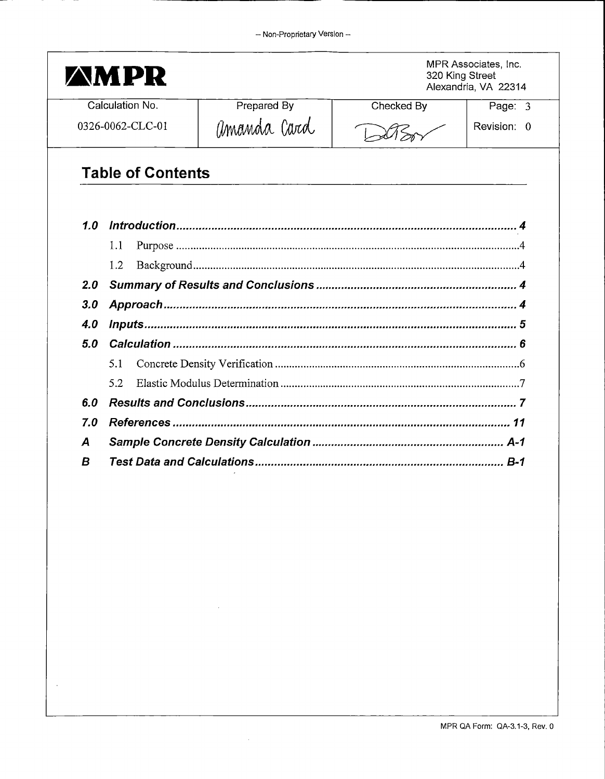| AM PR            |                          | MPR Associates, Inc.<br>320 King Street<br>Alexandria, VA 22314 |            |             |
|------------------|--------------------------|-----------------------------------------------------------------|------------|-------------|
|                  | Calculation No.          | Prepared By                                                     | Checked By | Page: 3     |
|                  | 0326-0062-CLC-01         | amanda Card                                                     |            | Revision: 0 |
|                  | <b>Table of Contents</b> |                                                                 |            |             |
| 1.0              |                          |                                                                 |            |             |
|                  | 1.1                      |                                                                 |            |             |
|                  |                          |                                                                 |            |             |
|                  | 1.2                      |                                                                 |            |             |
| 2.0              |                          |                                                                 |            |             |
| 3.0              |                          |                                                                 |            |             |
| 4.0              |                          |                                                                 |            |             |
| 5.0              |                          |                                                                 |            |             |
|                  | 5.1                      |                                                                 |            |             |
|                  | 5.2                      |                                                                 |            |             |
| 6.0              |                          |                                                                 |            |             |
| 7.0              |                          |                                                                 |            |             |
| $\boldsymbol{A}$ |                          |                                                                 |            |             |

 $\hat{\boldsymbol{\theta}}$ 

 $\sim 10^7$ 

÷.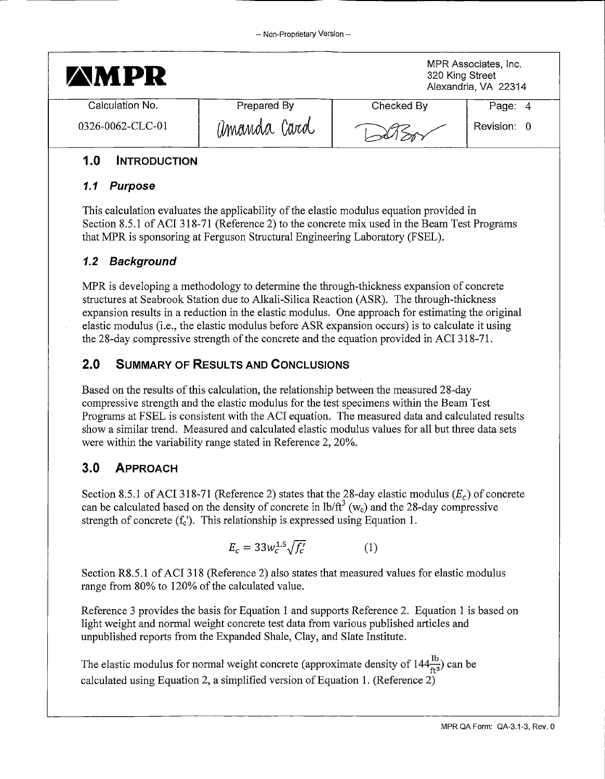| <b>AMPR</b>      |             | MPR Associates, Inc.<br>320 King Street<br>Alexandria, VA 22314 |             |
|------------------|-------------|-----------------------------------------------------------------|-------------|
| Calculation No.  | Prepared By | Checked By                                                      | Page: 4     |
| 0326-0062-CLC-01 | amanda Card |                                                                 | Revision: 0 |

## **1.0 INTRODUCTION**

#### **1.1 Purpose**

This calculation evaluates the applicability of the elastic modulus equation provided in Section 8.5.l of ACI 318-71 (Reference 2) to the concrete mix used in the Beam Test Programs that MPR is sponsoring at Ferguson Structural Engineering Laboratory (FSEL).

## **1.2 Background**

MPR is developing a methodology to determine the through-thickness expansion of concrete structures at Seabrook Station due to Alkali-Silica Reaction (ASR). The through-thickness expansion results in a reduction in the elastic modulus. One approach for estimating the original elastic modulus (i.e., the elastic modulus before ASR expansion occurs) is to calculate it using the 28-day compressive strength of the concrete and the equation provided in ACI 318-71.

## **2.0 SUMMARY OF RESULTS AND CONCLUSIONS**

Based on the results of this calculation, the relationship between the measured 28-day compressive strength and the elastic modulus for the test specimens within the Beam Test Programs at FSEL is consistent with the ACI equation. The measured data and calculated results show a similar trend. Measured and calculated elastic modulus values for all but three data sets were within the variability range stated in Reference 2, 20%.

## **3.0 APPROACH**

Section 8.5.1 of ACI 318-71 (Reference 2) states that the 28-day elastic modulus ( $E_c$ ) of concrete can be calculated based on the density of concrete in  $lb/ft^3$  (w<sub>c</sub>) and the 28-day compressive strength of concrete  $(f_c)$ . This relationship is expressed using Equation 1.

$$
E_c = 33w_c^{1.5}\sqrt{f_c'} \tag{1}
$$

Section R8.5 .1 of ACI 318 (Reference 2) also states that measured values for elastic modulus range from 80% to 120% of the calculated value.

Reference 3 provides the basis for Equation 1 and supports Reference 2. Equation 1 is based on light weight and normal weight concrete test data from various published articles and unpublished reports from the Expanded Shale, Clay, and Slate Institute.

The elastic modulus for normal weight concrete (approximate density of  $144\frac{lb}{ft^3}$ ) can be calculated using Equation 2, a simplified version of Equation 1. (Reference 2)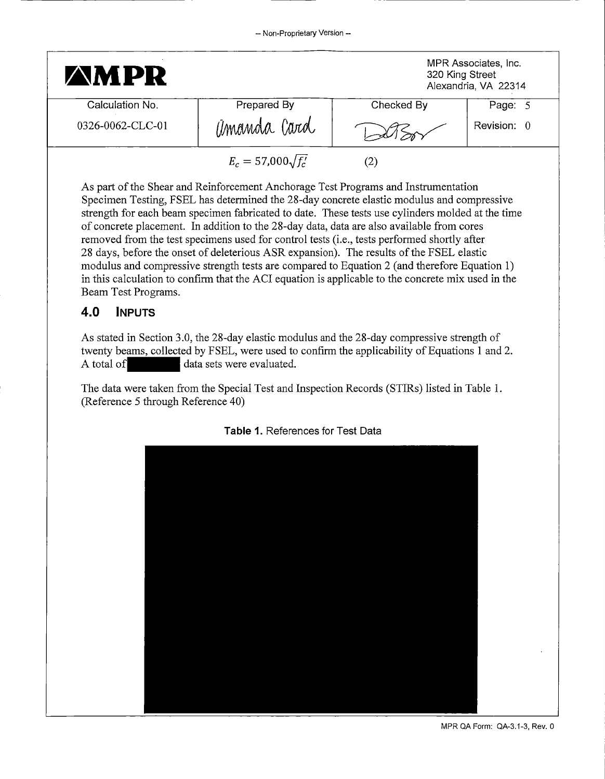| <b>AMPR</b>      |                           | 320 King Street | MPR Associates, Inc.<br>Alexandria, VA 22314 |
|------------------|---------------------------|-----------------|----------------------------------------------|
| Calculation No.  | Prepared By               | Checked By      | Page: 5                                      |
| 0326-0062-CLC-01 | amanda Card               |                 | Revision: 0                                  |
|                  | $E_c = 57,000\sqrt{f'_c}$ | $\rm(2)$        |                                              |

As part of the Shear and Reinforcement Anchorage Test Programs and Instrumentation Specimen Testing, FSEL has determined the 28-day concrete elastic modulus and compressive strength for each beam specimen fabricated to date. These tests use cylinders molded at the time of concrete placement. In addition to the 28-day data, data are also available from cores removed from the test specimens used for control tests (i.e., tests performed shortly after 28 days, before the onset of deleterious ASR expansion). The results of the FSEL elastic modulus and compressive strength tests are compared to Equation 2 (and therefore Equation 1) in this calculation to confirm that the ACI equation is applicable to the concrete mix used in the Beam Test Programs.

### **4.0 INPUTS**

As stated in Section 3.0, the 28-day elastic modulus and the 28-day compressive strength of twenty beams, collected by FSEL, were used to confirm the applicability of Equations 1 and 2. As stated in Section 3.0, the 28-day elastic mod<br>twenty beams, collected by FSEL, were used to<br>A total of data sets were evaluated.

The data were taken from the Special Test and Inspection Records (STIRs) listed in Table 1. (Reference 5 through Reference 40)



**Table** 1. References for Test Data

MPR QA Form: QA-3.1-3, Rev. 0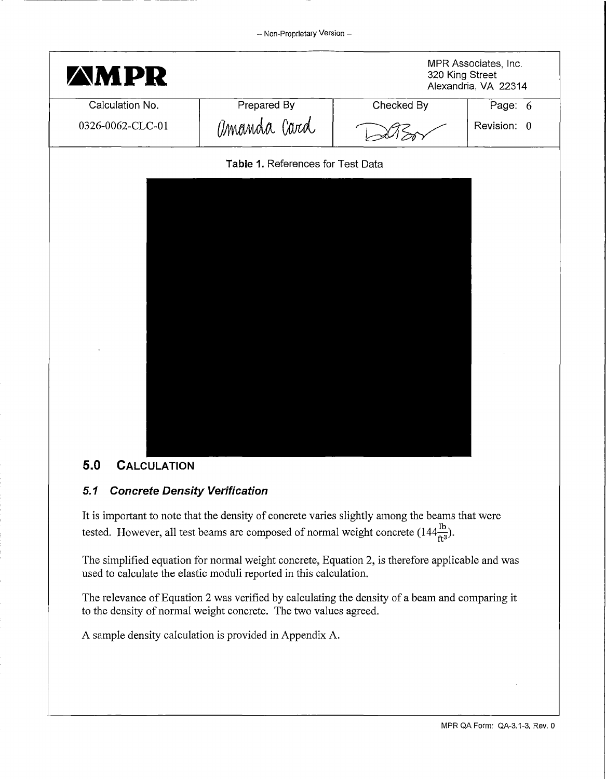

## **5.0 CALCULATION**

#### **5. 1 Concrete Density Verification**

It is important to note that the density of concrete varies slightly among the beams that were tested. However, all test beams are composed of normal weight concrete  $(144\frac{16}{ft^3})$ .

The simplified equation for normal weight concrete, Equation 2, is therefore applicable and was used to calculate the elastic moduli reported in this calculation.

The relevance of Equation 2 was verified by calculating the density of a beam and comparing it to the density of normal weight concrete. The two values agreed.

A sample density calculation is provided in Appendix A.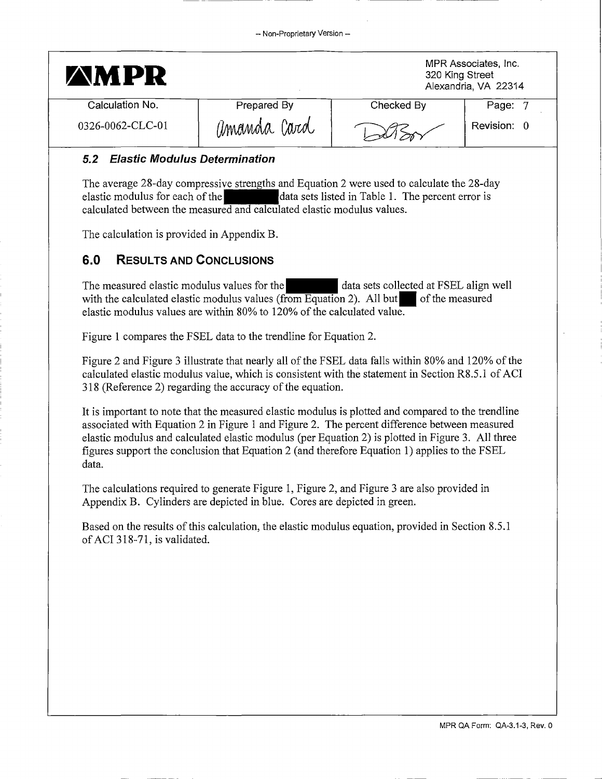|             | MPR Associates, Inc.<br>320 King Street<br>Alexandria, VA 22314 |             |
|-------------|-----------------------------------------------------------------|-------------|
| Prepared By | Checked By                                                      | Page: 7     |
| amanda Card |                                                                 | Revision: 0 |
|             |                                                                 |             |

#### **5.2 Elastic Modulus Determination**

The average 28-day compressive strengths and Equation 2 were used to calculate the  $28$ -day elastic modulus for each of the data sets listed in Table 1. The percent error is calculated between the measured and calculated elastic modulus values.

The calculation is provided in Appendix B.

### **6.0 RESULTS AND CONCLUSIONS**

The measured elastic modulus values for the - data sets collected at FSEL align well with the calculated elastic modulus values (from Equation 2). All but  $\blacksquare$  of the measured elastic modulus values are within 80% to 120% of the calculated value.

Figure 1 compares the FSEL data to the trendline for Equation 2.

Figure 2 and Figure 3 illustrate that nearly all of the FSEL data falls within 80% and 120% of the calculated elastic modulus value, which is consistent with the statement in Section R8.5.1 of ACI 318 (Reference 2) regarding the accuracy of the equation.

It is important to note that the measured elastic modulus is plotted and compared to the trendline associated with Equation 2 in Figure 1 and Figure 2. The percent difference between measured elastic modulus and calculated elastic modulus (per Equation 2) is plotted in Figure 3. All three figures support the conclusion that Equation 2 (and therefore Equation 1) applies to the FSEL data.

The calculations required to generate Figure 1, Figure 2, and Figure 3 are also provided in Appendix B. Cylinders are depicted in blue. Cores are depicted in green.

Based on the results of this calculation, the elastic modulus equation, provided in Section 8.5.l of ACI 318-71, is validated.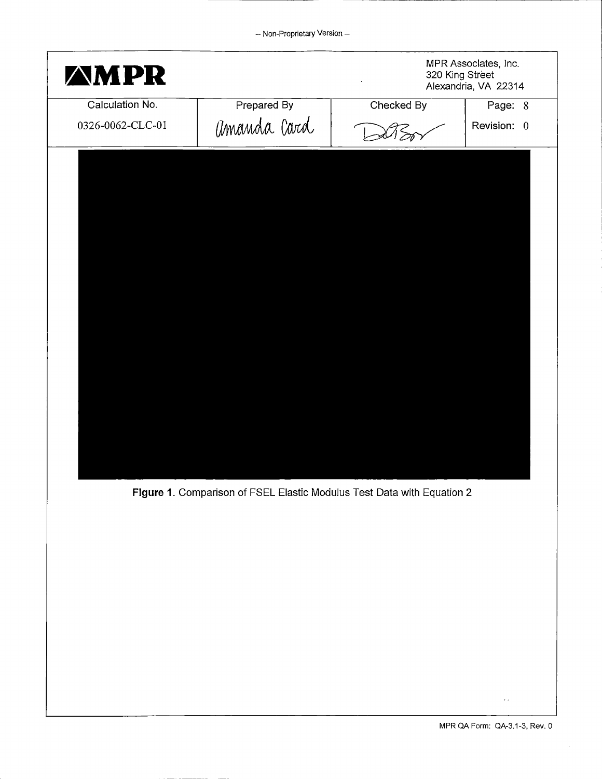| <b><i>AMPR</i></b> |             | MPR Associates, Inc.<br>320 King Street<br>$\epsilon$<br>Alexandria, VA 22314 |             |
|--------------------|-------------|-------------------------------------------------------------------------------|-------------|
| Calculation No.    | Prepared By | Checked By                                                                    | Page: 8     |
| 0326-0062-CLC-01   | amanda Card |                                                                               | Revision: 0 |
|                    |             |                                                                               |             |
|                    |             |                                                                               |             |
|                    |             |                                                                               |             |
|                    |             |                                                                               |             |
|                    |             |                                                                               |             |
|                    |             |                                                                               |             |
|                    |             |                                                                               |             |
|                    |             |                                                                               |             |
|                    |             |                                                                               |             |
|                    |             |                                                                               |             |
|                    |             |                                                                               |             |
|                    |             |                                                                               |             |
|                    |             |                                                                               |             |
|                    |             |                                                                               |             |
|                    |             |                                                                               |             |
|                    |             |                                                                               |             |

**Figure 1.** Comparison of FSEL Elastic Modulus Test Data with Equation 2

 $\ddot{\phantom{a}}$  .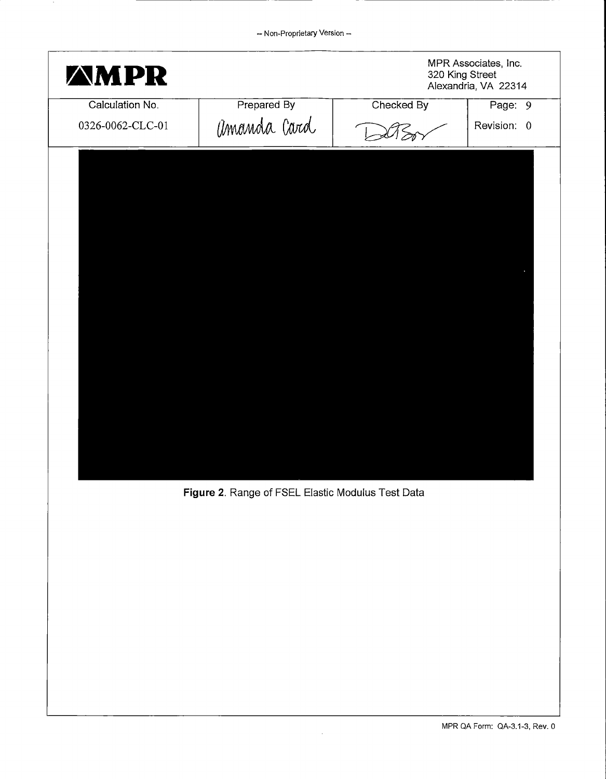| <b>AMPR</b>      |             | 320 King Street | MPR Associates, Inc.<br>Alexandria, VA 22314 |
|------------------|-------------|-----------------|----------------------------------------------|
| Calculation No.  | Prepared By | Checked By      | Page: 9                                      |
| 0326-0062-CLC-01 | amanda Card |                 | Revision: 0                                  |
|                  |             |                 |                                              |
|                  |             |                 |                                              |
|                  |             |                 |                                              |
|                  |             |                 |                                              |
|                  |             |                 |                                              |
|                  |             |                 |                                              |
|                  |             |                 |                                              |
|                  |             |                 |                                              |
|                  |             |                 |                                              |
|                  |             |                 |                                              |
|                  |             |                 |                                              |
|                  |             |                 |                                              |

**Figure** 2. Range of FSEL Elastic Modulus Test Data

 $\hat{\mathcal{A}}$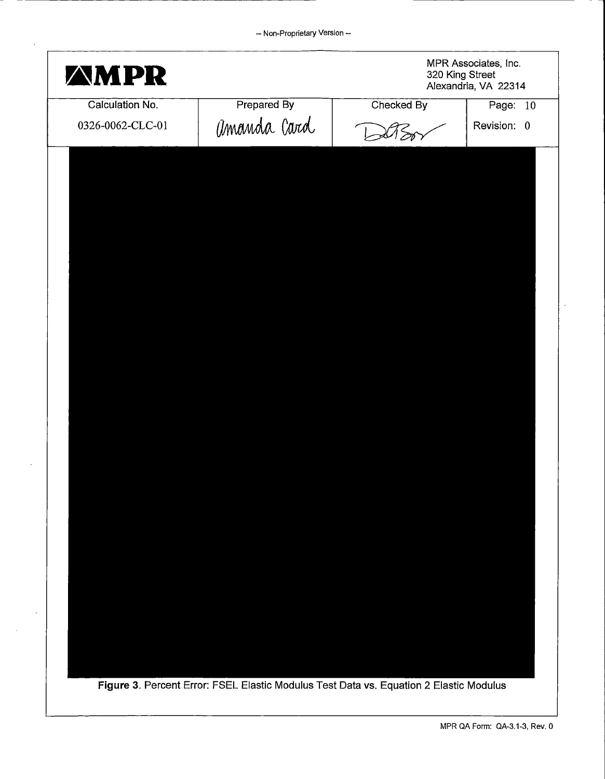| <b>AMPR</b>      |                                                                                        | MPR Associates, Inc.<br>320 King Street<br>Alexandria, VA 22314 |             |
|------------------|----------------------------------------------------------------------------------------|-----------------------------------------------------------------|-------------|
| Calculation No.  | <b>Prepared By</b>                                                                     | Checked By                                                      | Page: 10    |
| 0326-0062-CLC-01 | amanda Card                                                                            |                                                                 | Revision: 0 |
|                  |                                                                                        |                                                                 |             |
|                  |                                                                                        |                                                                 |             |
|                  |                                                                                        |                                                                 |             |
|                  |                                                                                        |                                                                 |             |
|                  |                                                                                        |                                                                 |             |
|                  |                                                                                        |                                                                 |             |
|                  |                                                                                        |                                                                 |             |
|                  |                                                                                        |                                                                 |             |
|                  |                                                                                        |                                                                 |             |
|                  |                                                                                        |                                                                 |             |
|                  |                                                                                        |                                                                 |             |
|                  |                                                                                        |                                                                 |             |
|                  |                                                                                        |                                                                 |             |
|                  |                                                                                        |                                                                 |             |
|                  |                                                                                        |                                                                 |             |
|                  |                                                                                        |                                                                 |             |
|                  |                                                                                        |                                                                 |             |
|                  |                                                                                        |                                                                 |             |
|                  |                                                                                        |                                                                 |             |
|                  |                                                                                        |                                                                 |             |
|                  |                                                                                        |                                                                 |             |
|                  |                                                                                        |                                                                 |             |
|                  |                                                                                        |                                                                 |             |
|                  |                                                                                        |                                                                 |             |
|                  |                                                                                        |                                                                 |             |
|                  |                                                                                        |                                                                 |             |
|                  | Figure 3. Percent Error: FSEL Elastic Modulus Test Data vs. Equation 2 Elastic Modulus |                                                                 |             |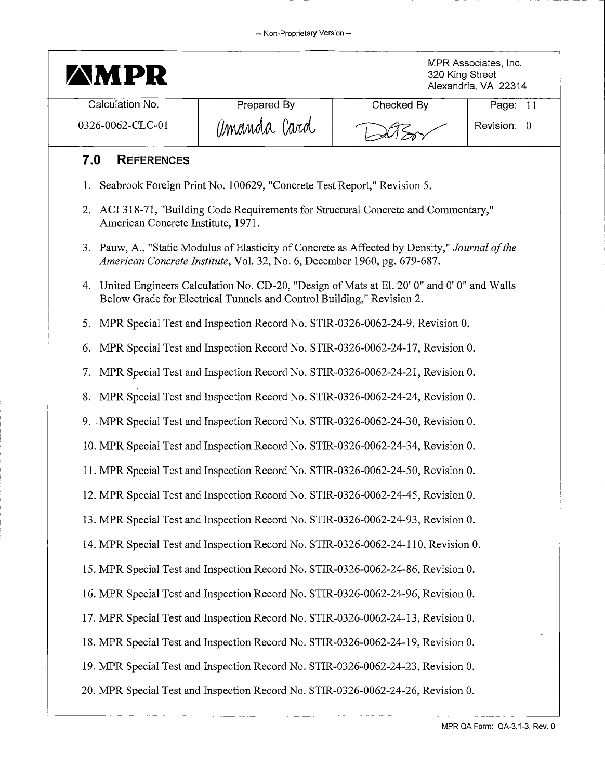| <b>AMPR</b>                        |                                                                                 | 320 King Street                                                                                | MPR Associates, Inc.<br>Alexandria, VA 22314 |  |  |
|------------------------------------|---------------------------------------------------------------------------------|------------------------------------------------------------------------------------------------|----------------------------------------------|--|--|
| Calculation No.                    | Prepared By                                                                     | Checked By                                                                                     | Page: $11$                                   |  |  |
| 0326-0062-CLC-01                   | amanda Card                                                                     |                                                                                                | Revision: 0                                  |  |  |
| 7.0<br><b>REFERENCES</b>           |                                                                                 |                                                                                                |                                              |  |  |
| 1.                                 | Seabrook Foreign Print No. 100629, "Concrete Test Report," Revision 5.          |                                                                                                |                                              |  |  |
| American Concrete Institute, 1971. |                                                                                 | 2. ACI 318-71, "Building Code Requirements for Structural Concrete and Commentary,"            |                                              |  |  |
|                                    | American Concrete Institute, Vol. 32, No. 6, December 1960, pg. 679-687.        | 3. Pauw, A., "Static Modulus of Elasticity of Concrete as Affected by Density," Journal of the |                                              |  |  |
|                                    | Below Grade for Electrical Tunnels and Control Building," Revision 2.           | 4. United Engineers Calculation No. CD-20, "Design of Mats at El. 20' 0" and 0' 0" and Walls   |                                              |  |  |
|                                    |                                                                                 | 5. MPR Special Test and Inspection Record No. STIR-0326-0062-24-9, Revision 0.                 |                                              |  |  |
|                                    |                                                                                 | 6. MPR Special Test and Inspection Record No. STIR-0326-0062-24-17, Revision 0.                |                                              |  |  |
|                                    | 7. MPR Special Test and Inspection Record No. STIR-0326-0062-24-21, Revision 0. |                                                                                                |                                              |  |  |
|                                    | 8. MPR Special Test and Inspection Record No. STIR-0326-0062-24-24, Revision 0. |                                                                                                |                                              |  |  |
|                                    |                                                                                 | 9. MPR Special Test and Inspection Record No. STIR-0326-0062-24-30, Revision 0.                |                                              |  |  |
|                                    |                                                                                 | 10. MPR Special Test and Inspection Record No. STIR-0326-0062-24-34, Revision 0.               |                                              |  |  |
|                                    |                                                                                 | 11. MPR Special Test and Inspection Record No. STIR-0326-0062-24-50, Revision 0.               |                                              |  |  |
|                                    |                                                                                 | 12. MPR Special Test and Inspection Record No. STIR-0326-0062-24-45, Revision 0.               |                                              |  |  |
|                                    |                                                                                 | 13. MPR Special Test and Inspection Record No. STIR-0326-0062-24-93, Revision 0.               |                                              |  |  |
|                                    |                                                                                 | 14. MPR Special Test and Inspection Record No. STIR-0326-0062-24-110, Revision 0.              |                                              |  |  |
|                                    |                                                                                 | 15. MPR Special Test and Inspection Record No. STIR-0326-0062-24-86, Revision 0.               |                                              |  |  |
|                                    |                                                                                 | 16. MPR Special Test and Inspection Record No. STIR-0326-0062-24-96, Revision 0.               |                                              |  |  |
|                                    |                                                                                 | 17. MPR Special Test and Inspection Record No. STIR-0326-0062-24-13, Revision 0.               |                                              |  |  |
|                                    |                                                                                 | 18. MPR Special Test and Inspection Record No. STIR-0326-0062-24-19, Revision 0.               |                                              |  |  |
|                                    |                                                                                 | 19. MPR Special Test and Inspection Record No. STIR-0326-0062-24-23, Revision 0.               |                                              |  |  |
|                                    |                                                                                 | 20. MPR Special Test and Inspection Record No. STIR-0326-0062-24-26, Revision 0.               |                                              |  |  |
|                                    |                                                                                 |                                                                                                | MPR QA Form: QA-3.1-3, Rev. 0                |  |  |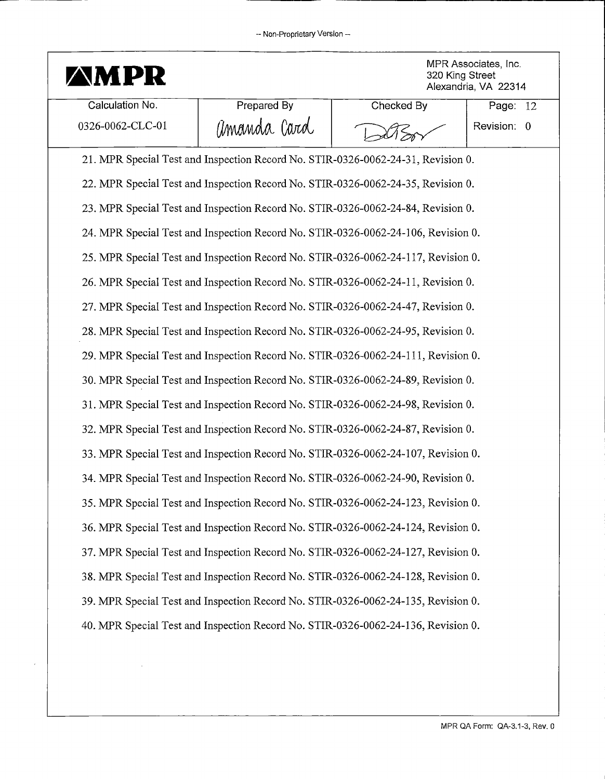

**MPR Associates, Inc.**<br>320 King Street<br>Alexandria, VA 22314 320 King Street Alexandria, VA 22314

| Calculation No.  | Prepared By | Checked By                                                                        | Page:       | -12 |
|------------------|-------------|-----------------------------------------------------------------------------------|-------------|-----|
| 0326-0062-CLC-01 | amanda Card |                                                                                   | Revision: 0 |     |
|                  |             | 21. MPR Special Test and Inspection Record No. STIR-0326-0062-24-31, Revision 0.  |             |     |
|                  |             | 22. MPR Special Test and Inspection Record No. STIR-0326-0062-24-35, Revision 0.  |             |     |
|                  |             | 23. MPR Special Test and Inspection Record No. STIR-0326-0062-24-84, Revision 0.  |             |     |
|                  |             | 24. MPR Special Test and Inspection Record No. STIR-0326-0062-24-106, Revision 0. |             |     |
|                  |             | 25. MPR Special Test and Inspection Record No. STIR-0326-0062-24-117, Revision 0. |             |     |
|                  |             | 26. MPR Special Test and Inspection Record No. STIR-0326-0062-24-11, Revision 0.  |             |     |
|                  |             | 27. MPR Special Test and Inspection Record No. STIR-0326-0062-24-47, Revision 0.  |             |     |
|                  |             | 28. MPR Special Test and Inspection Record No. STIR-0326-0062-24-95, Revision 0.  |             |     |
|                  |             | 29. MPR Special Test and Inspection Record No. STIR-0326-0062-24-111, Revision 0. |             |     |
|                  |             | 30. MPR Special Test and Inspection Record No. STIR-0326-0062-24-89, Revision 0.  |             |     |
|                  |             | 31. MPR Special Test and Inspection Record No. STIR-0326-0062-24-98, Revision 0.  |             |     |
|                  |             | 32. MPR Special Test and Inspection Record No. STIR-0326-0062-24-87, Revision 0.  |             |     |
|                  |             | 33. MPR Special Test and Inspection Record No. STIR-0326-0062-24-107, Revision 0. |             |     |
|                  |             | 34. MPR Special Test and Inspection Record No. STIR-0326-0062-24-90, Revision 0.  |             |     |
|                  |             | 35. MPR Special Test and Inspection Record No. STIR-0326-0062-24-123, Revision 0. |             |     |
|                  |             | 36. MPR Special Test and Inspection Record No. STIR-0326-0062-24-124, Revision 0. |             |     |
|                  |             | 37. MPR Special Test and Inspection Record No. STIR-0326-0062-24-127, Revision 0. |             |     |
|                  |             | 38. MPR Special Test and Inspection Record No. STIR-0326-0062-24-128, Revision 0. |             |     |
|                  |             | 39. MPR Special Test and Inspection Record No. STIR-0326-0062-24-135, Revision 0. |             |     |
|                  |             | 40. MPR Special Test and Inspection Record No. STIR-0326-0062-24-136, Revision 0. |             |     |
|                  |             |                                                                                   |             |     |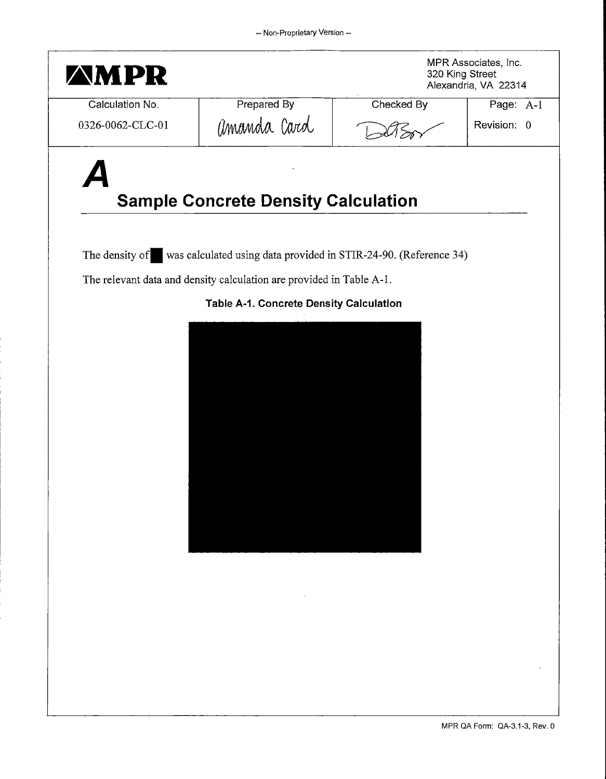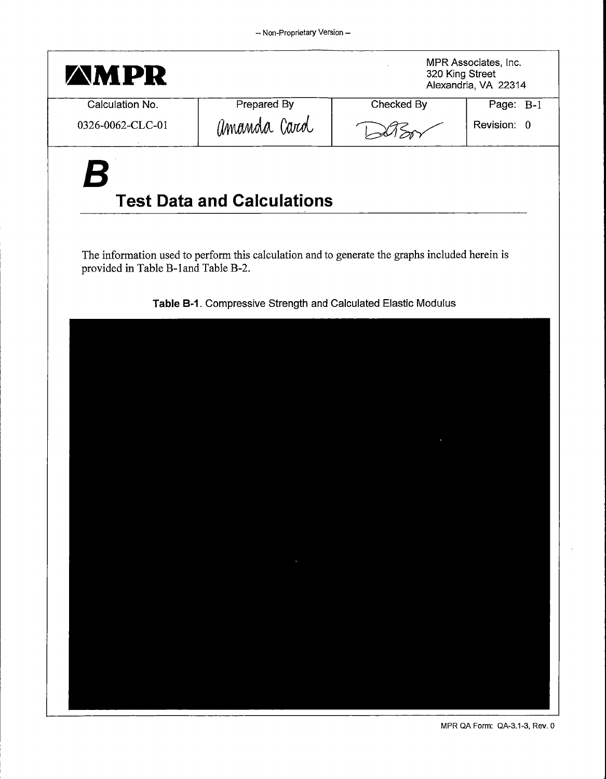

MPR QA Form: QA-3.1-3, Rev. 0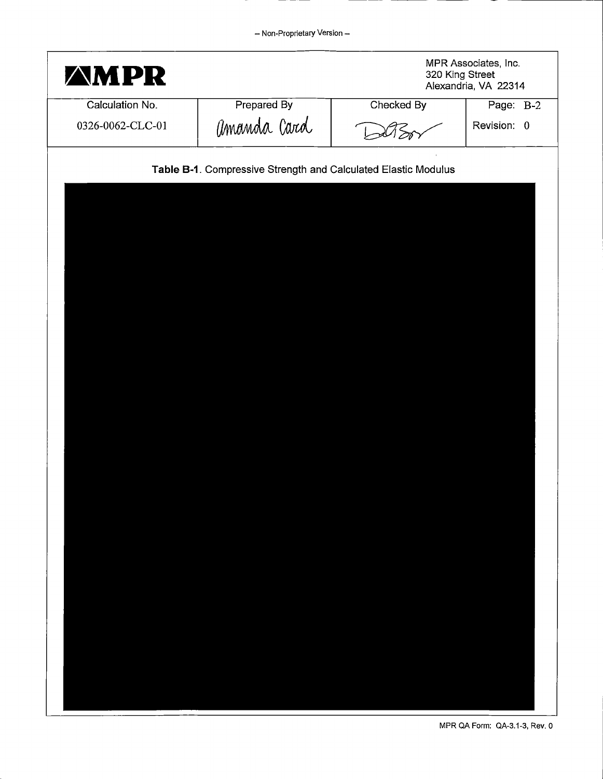| <b>AMPR</b>      |                                                                | MPR Associates, Inc.<br>320 King Street<br>Alexandria, VA 22314 |             |
|------------------|----------------------------------------------------------------|-----------------------------------------------------------------|-------------|
| Calculation No.  | Prepared By                                                    | Checked By                                                      | Page: B-2   |
| 0326-0062-CLC-01 | amanda Card                                                    |                                                                 | Revision: 0 |
|                  | Table B-1. Compressive Strength and Calculated Elastic Modulus |                                                                 |             |
|                  |                                                                |                                                                 |             |
|                  |                                                                |                                                                 |             |
|                  |                                                                |                                                                 |             |
|                  |                                                                |                                                                 |             |
|                  |                                                                |                                                                 |             |
|                  |                                                                |                                                                 |             |
|                  |                                                                |                                                                 |             |
|                  |                                                                |                                                                 |             |
|                  |                                                                |                                                                 |             |
|                  |                                                                |                                                                 |             |
|                  |                                                                |                                                                 |             |
|                  |                                                                |                                                                 |             |
|                  |                                                                |                                                                 |             |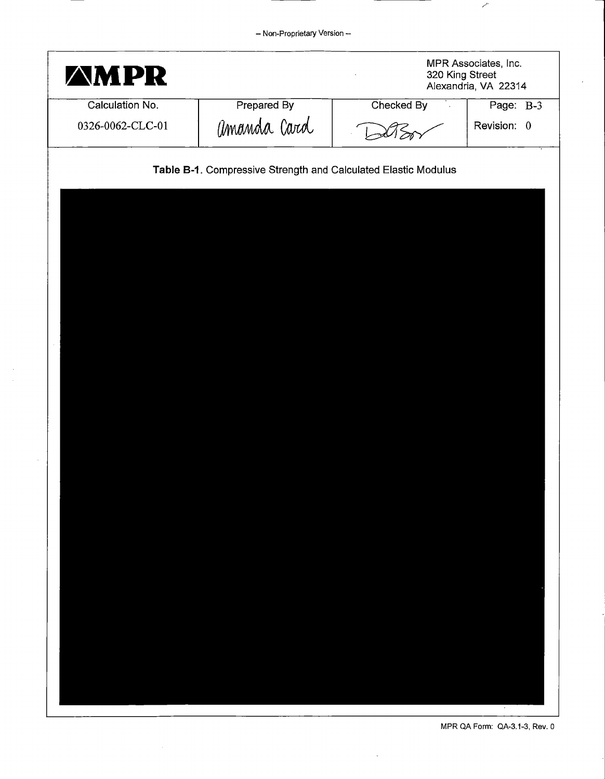- Non-Proprietary Version-

| <b>AMPR</b>      |                                                                | MPR Associates, Inc.<br>320 King Street<br>Alexandria, VA 22314 |             |
|------------------|----------------------------------------------------------------|-----------------------------------------------------------------|-------------|
| Calculation No.  | Prepared By                                                    | Checked By<br>$\mathcal{L}$                                     | Page: B-3   |
| 0326-0062-CLC-01 | amanda Card                                                    |                                                                 | Revision: 0 |
|                  | Table B-1. Compressive Strength and Calculated Elastic Modulus |                                                                 |             |
|                  |                                                                |                                                                 |             |
|                  |                                                                |                                                                 |             |
|                  |                                                                |                                                                 |             |
|                  |                                                                |                                                                 |             |
|                  |                                                                |                                                                 |             |
|                  |                                                                |                                                                 |             |
|                  |                                                                |                                                                 |             |
|                  |                                                                |                                                                 |             |
|                  |                                                                |                                                                 |             |
|                  |                                                                |                                                                 |             |
|                  |                                                                |                                                                 |             |
|                  |                                                                |                                                                 |             |
|                  |                                                                |                                                                 |             |
|                  |                                                                |                                                                 |             |
|                  |                                                                |                                                                 |             |
|                  |                                                                |                                                                 |             |
|                  |                                                                |                                                                 |             |

MPR QA Form: QA-3.1-3, Rev. o

 $\mathcal{S}$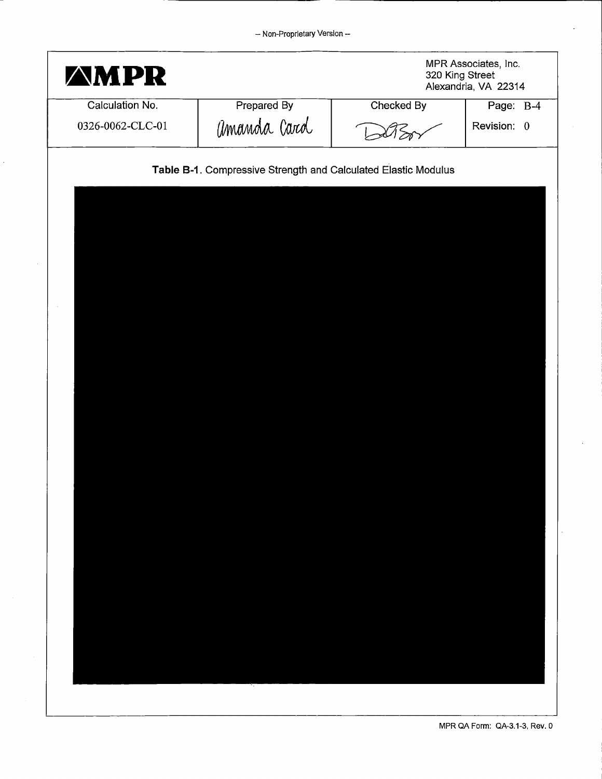| <b>AMPR</b>      |                                                                | MPR Associates, Inc.<br>320 King Street<br>Alexandria, VA 22314 |             |
|------------------|----------------------------------------------------------------|-----------------------------------------------------------------|-------------|
| Calculation No.  | Prepared By                                                    | Checked By                                                      | Page: B-4   |
| 0326-0062-CLC-01 | amanda Card                                                    |                                                                 | Revision: 0 |
|                  | Table B-1. Compressive Strength and Calculated Elastic Modulus |                                                                 |             |
|                  |                                                                |                                                                 |             |
|                  |                                                                |                                                                 |             |
|                  |                                                                |                                                                 |             |
|                  |                                                                |                                                                 |             |
|                  |                                                                |                                                                 |             |
|                  |                                                                |                                                                 |             |
|                  |                                                                |                                                                 |             |
|                  |                                                                |                                                                 |             |
|                  |                                                                |                                                                 |             |
|                  |                                                                |                                                                 |             |
|                  |                                                                |                                                                 |             |
|                  |                                                                |                                                                 |             |
|                  |                                                                |                                                                 |             |
|                  |                                                                |                                                                 |             |
|                  |                                                                |                                                                 |             |
|                  |                                                                |                                                                 |             |
|                  |                                                                |                                                                 |             |
|                  |                                                                |                                                                 |             |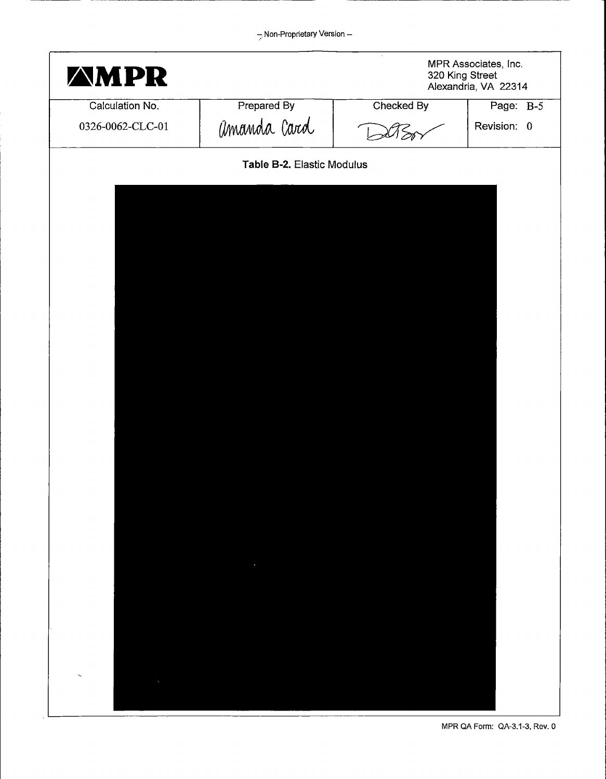| <b>AMPR</b>      |                            | MPR Associates, Inc.<br>320 King Street<br>Alexandria, VA 22314 |             |
|------------------|----------------------------|-----------------------------------------------------------------|-------------|
| Calculation No.  | Prepared By                | Checked By                                                      | Page: B-5   |
| 0326-0062-CLC-01 | amanda Card                |                                                                 | Revision: 0 |
|                  | Table B-2. Elastic Modulus |                                                                 |             |
|                  |                            |                                                                 |             |
|                  |                            |                                                                 |             |
|                  |                            |                                                                 |             |
|                  |                            |                                                                 |             |
|                  |                            |                                                                 |             |
|                  |                            |                                                                 |             |
|                  |                            |                                                                 |             |
|                  |                            |                                                                 |             |
|                  |                            |                                                                 |             |
|                  |                            |                                                                 |             |
|                  |                            |                                                                 |             |
|                  |                            |                                                                 |             |
|                  |                            |                                                                 |             |
|                  |                            |                                                                 |             |
|                  |                            |                                                                 |             |
|                  |                            |                                                                 |             |
|                  |                            |                                                                 |             |

 $\bar{z}$ 

MPR QA Form: QA-3.1-3, Rev. 0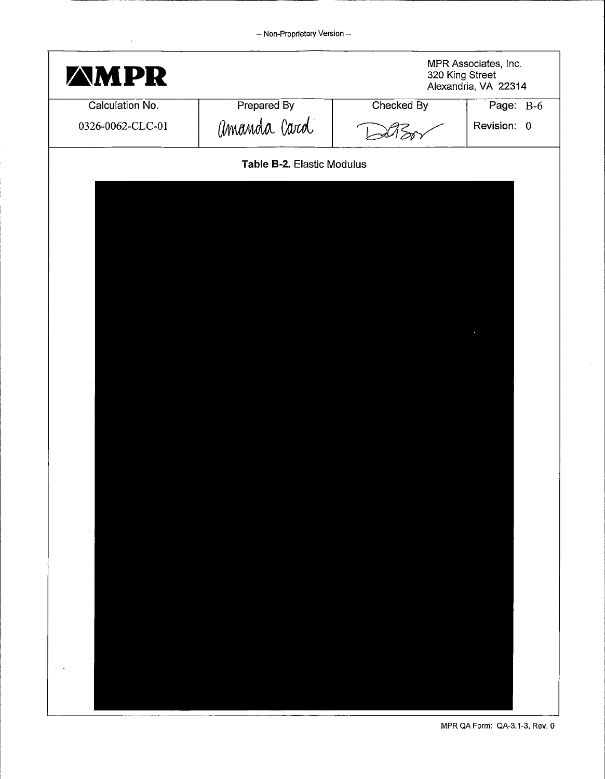| MPR<br>Z                            |                            | MPR Associates, Inc.<br>320 King Street<br>Alexandria, VA 22314 |                          |  |
|-------------------------------------|----------------------------|-----------------------------------------------------------------|--------------------------|--|
| Calculation No.<br>0326-0062-CLC-01 | Prepared By<br>amanda Card | Checked By                                                      | Page: B-6<br>Revision: 0 |  |
|                                     | Table B-2. Elastic Modulus |                                                                 |                          |  |
|                                     |                            |                                                                 |                          |  |
|                                     |                            |                                                                 |                          |  |
|                                     |                            |                                                                 |                          |  |
|                                     |                            |                                                                 |                          |  |
|                                     |                            |                                                                 |                          |  |
|                                     |                            |                                                                 |                          |  |
|                                     |                            |                                                                 |                          |  |
|                                     |                            |                                                                 |                          |  |
|                                     |                            |                                                                 |                          |  |
|                                     |                            |                                                                 |                          |  |
|                                     |                            |                                                                 |                          |  |
|                                     |                            |                                                                 |                          |  |
|                                     |                            |                                                                 |                          |  |
|                                     |                            |                                                                 |                          |  |
|                                     |                            |                                                                 |                          |  |
|                                     |                            |                                                                 |                          |  |
|                                     |                            |                                                                 |                          |  |
|                                     |                            |                                                                 |                          |  |
|                                     |                            |                                                                 |                          |  |

 $\hat{\boldsymbol{r}}$